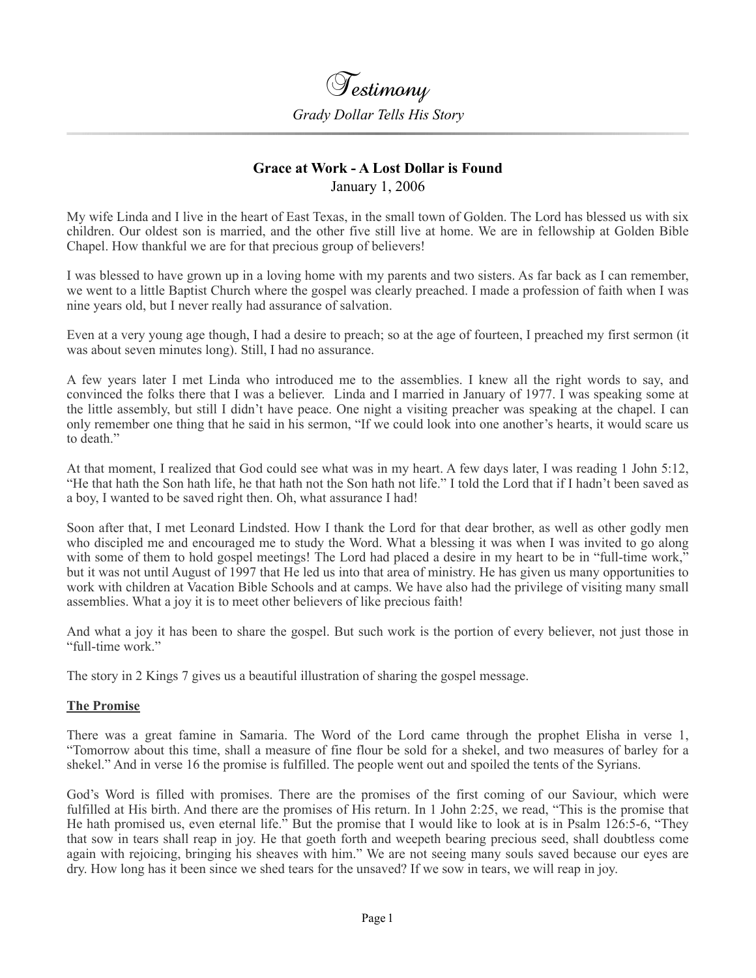

## **Grace at Work - A Lost Dollar is Found**  January 1, 2006

My wife Linda and I live in the heart of East Texas, in the small town of Golden. The Lord has blessed us with six children. Our oldest son is married, and the other five still live at home. We are in fellowship at Golden Bible Chapel. How thankful we are for that precious group of believers!

I was blessed to have grown up in a loving home with my parents and two sisters. As far back as I can remember, we went to a little Baptist Church where the gospel was clearly preached. I made a profession of faith when I was nine years old, but I never really had assurance of salvation.

Even at a very young age though, I had a desire to preach; so at the age of fourteen, I preached my first sermon (it was about seven minutes long). Still, I had no assurance.

A few years later I met Linda who introduced me to the assemblies. I knew all the right words to say, and convinced the folks there that I was a believer. Linda and I married in January of 1977. I was speaking some at the little assembly, but still I didn't have peace. One night a visiting preacher was speaking at the chapel. I can only remember one thing that he said in his sermon, "If we could look into one another's hearts, it would scare us to death."

At that moment, I realized that God could see what was in my heart. A few days later, I was reading 1 John 5:12, "He that hath the Son hath life, he that hath not the Son hath not life." I told the Lord that if I hadn't been saved as a boy, I wanted to be saved right then. Oh, what assurance I had!

Soon after that, I met Leonard Lindsted. How I thank the Lord for that dear brother, as well as other godly men who discipled me and encouraged me to study the Word. What a blessing it was when I was invited to go along with some of them to hold gospel meetings! The Lord had placed a desire in my heart to be in "full-time work," but it was not until August of 1997 that He led us into that area of ministry. He has given us many opportunities to work with children at Vacation Bible Schools and at camps. We have also had the privilege of visiting many small assemblies. What a joy it is to meet other believers of like precious faith!

And what a joy it has been to share the gospel. But such work is the portion of every believer, not just those in "full-time work."

The story in 2 Kings 7 gives us a beautiful illustration of sharing the gospel message.

## **The Promise**

There was a great famine in Samaria. The Word of the Lord came through the prophet Elisha in verse 1, "Tomorrow about this time, shall a measure of fine flour be sold for a shekel, and two measures of barley for a shekel." And in verse 16 the promise is fulfilled. The people went out and spoiled the tents of the Syrians.

God's Word is filled with promises. There are the promises of the first coming of our Saviour, which were fulfilled at His birth. And there are the promises of His return. In 1 John 2:25, we read, "This is the promise that He hath promised us, even eternal life." But the promise that I would like to look at is in Psalm 126:5-6, "They that sow in tears shall reap in joy. He that goeth forth and weepeth bearing precious seed, shall doubtless come again with rejoicing, bringing his sheaves with him." We are not seeing many souls saved because our eyes are dry. How long has it been since we shed tears for the unsaved? If we sow in tears, we will reap in joy.